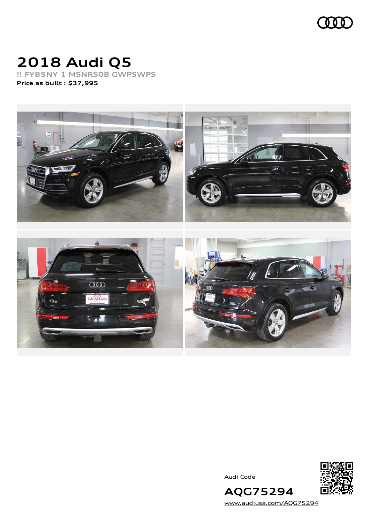

# **2018 Audi Q5**

**!! FYB5NY 1 MSNRS0B GWPSWPS Price as built [:](#page-6-0) \$37,995**



Audi Code



[www.audiusa.com/AQG75294](https://www.audiusa.com/AQG75294)

**AQG75294**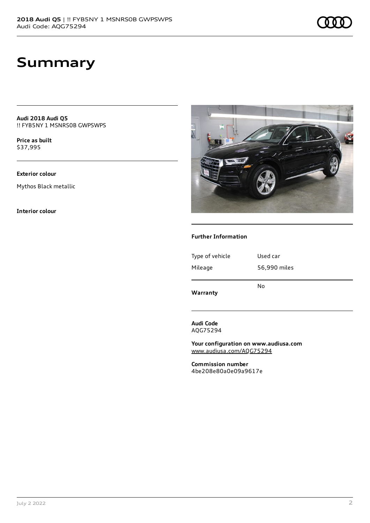### **Summary**

**Audi 2018 Audi Q5** !! FYB5NY 1 MSNRS0B GWPSWPS

**Price as buil[t](#page-6-0)** \$37,995

#### **Exterior colour**

Mythos Black metallic

**Interior colour**



#### **Further Information**

| Type of vehicle | Used car     |
|-----------------|--------------|
| Mileage         | 56,990 miles |
| Warranty        | No           |

**Audi Code** AQG75294

**Your configuration on www.audiusa.com** [www.audiusa.com/AQG75294](https://www.audiusa.com/AQG75294)

**Commission number** 4be208e80a0e09a9617e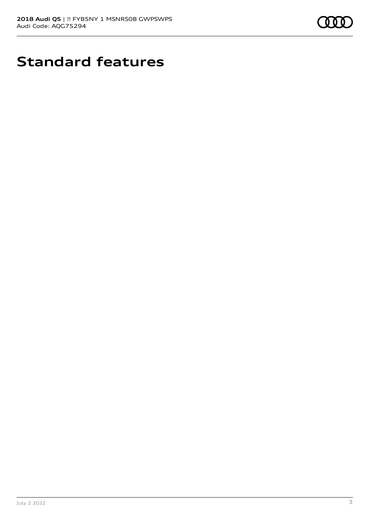

# **Standard features**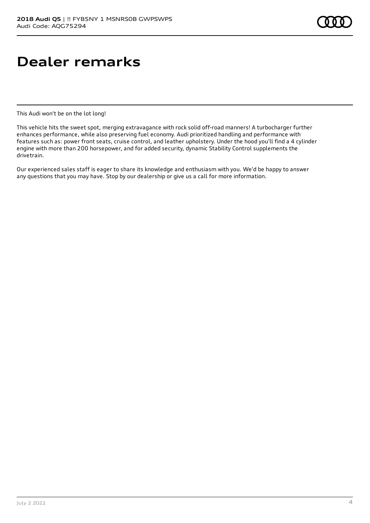## **Dealer remarks**

This Audi won't be on the lot long!

This vehicle hits the sweet spot, merging extravagance with rock solid off-road manners! A turbocharger further enhances performance, while also preserving fuel economy. Audi prioritized handling and performance with features such as: power front seats, cruise control, and leather upholstery. Under the hood you'll find a 4 cylinder engine with more than 200 horsepower, and for added security, dynamic Stability Control supplements the drivetrain.

Our experienced sales staff is eager to share its knowledge and enthusiasm with you. We'd be happy to answer any questions that you may have. Stop by our dealership or give us a call for more information.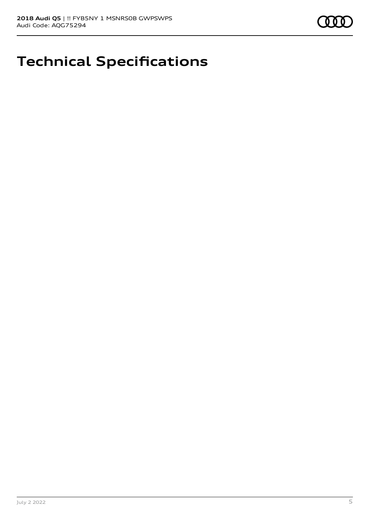

## **Technical Specifications**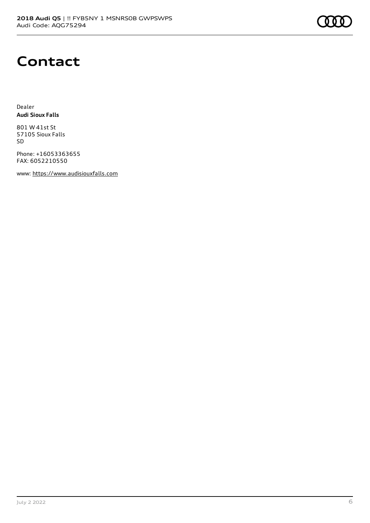

#### **Contact**

Dealer **Audi Sioux Falls**

801 W 41st St 57105 Sioux Falls SD

Phone: +16053363655 FAX: 6052210550

www: [https://www.audisiouxfalls.com](https://www.audisiouxfalls.com/)